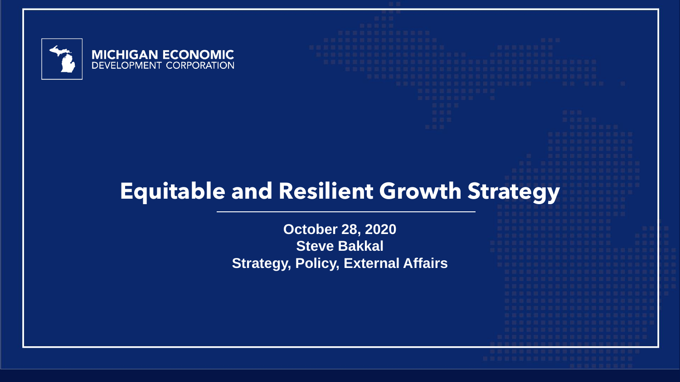



# **Equitable and Resilient Growth Strategy**

**October 28, 2020 Steve Bakkal Strategy, Policy, External Affairs**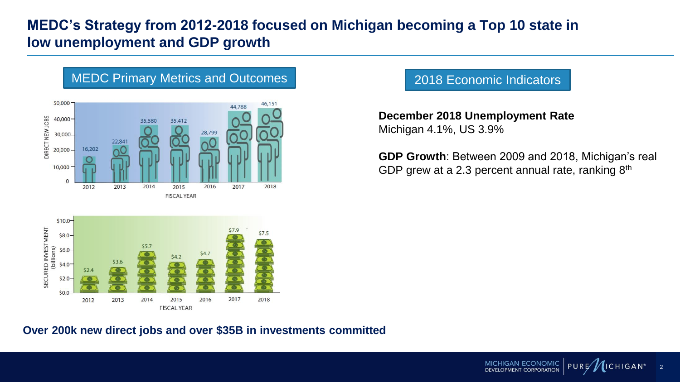### **MEDC's Strategy from 2012-2018 focused on Michigan becoming a Top 10 state in low unemployment and GDP growth**



#### 2018 Economic Indicators

**December 2018 Unemployment Rate** Michigan 4.1%, US 3.9%

**GDP Growth**: Between 2009 and 2018, Michigan's real GDP grew at a 2.3 percent annual rate, ranking 8<sup>th</sup>

MICHIGAN ECONOMIC

OPMENT CORPORATION

 $PURE$ 

2

 $ICHIGAN<sup>®</sup>$ 

#### **Over 200k new direct jobs and over \$35B in investments committed**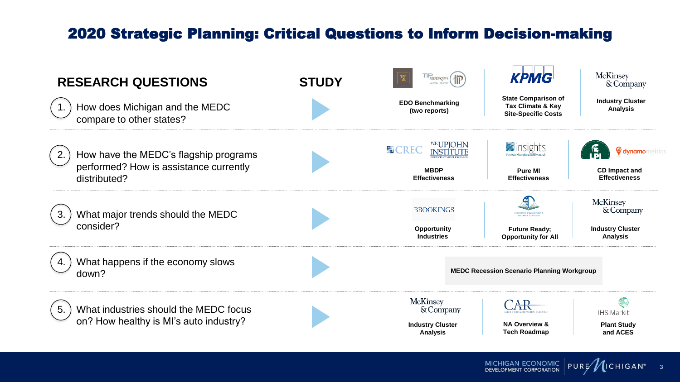## 2020 Strategic Planning: Critical Questions to Inform Decision-making



MICHIGAN ECONOMIC  $PURE$ **DEVELOPMENT CORPORATION** 

3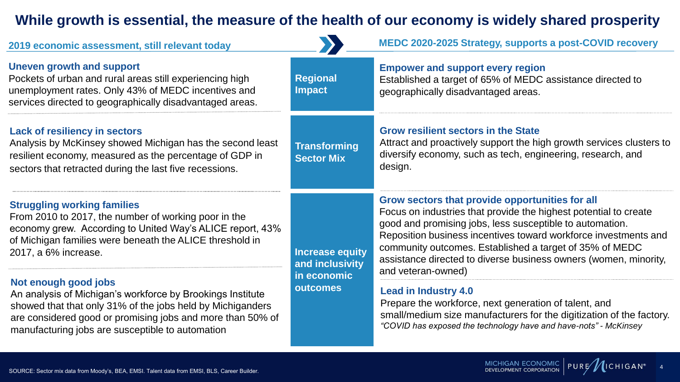### **While growth is essential, the measure of the health of our economy is widely shared prosperity**

| 2019 economic assessment, still relevant today                                                                                                                                                                                                                     |                                                                      | MEDC 2020-2025 Strategy, supports a post-COVID recovery                                                                                                                                                                                                                                                                                                                                                 |
|--------------------------------------------------------------------------------------------------------------------------------------------------------------------------------------------------------------------------------------------------------------------|----------------------------------------------------------------------|---------------------------------------------------------------------------------------------------------------------------------------------------------------------------------------------------------------------------------------------------------------------------------------------------------------------------------------------------------------------------------------------------------|
| <b>Uneven growth and support</b><br>Pockets of urban and rural areas still experiencing high<br>unemployment rates. Only 43% of MEDC incentives and<br>services directed to geographically disadvantaged areas.                                                    | <b>Regional</b><br><b>Impact</b>                                     | <b>Empower and support every region</b><br>Established a target of 65% of MEDC assistance directed to<br>geographically disadvantaged areas.                                                                                                                                                                                                                                                            |
| <b>Lack of resiliency in sectors</b><br>Analysis by McKinsey showed Michigan has the second least<br>resilient economy, measured as the percentage of GDP in<br>sectors that retracted during the last five recessions.                                            | <b>Transforming</b><br><b>Sector Mix</b>                             | <b>Grow resilient sectors in the State</b><br>Attract and proactively support the high growth services clusters to<br>diversify economy, such as tech, engineering, research, and<br>design.                                                                                                                                                                                                            |
| <b>Struggling working families</b><br>From 2010 to 2017, the number of working poor in the<br>economy grew. According to United Way's ALICE report, 43%<br>of Michigan families were beneath the ALICE threshold in<br>2017, a 6% increase.                        | <b>Increase equity</b><br>and inclusivity<br>in economic<br>outcomes | Grow sectors that provide opportunities for all<br>Focus on industries that provide the highest potential to create<br>good and promising jobs, less susceptible to automation.<br>Reposition business incentives toward workforce investments and<br>community outcomes. Established a target of 35% of MEDC<br>assistance directed to diverse business owners (women, minority,<br>and veteran-owned) |
| Not enough good jobs<br>An analysis of Michigan's workforce by Brookings Institute<br>showed that that only 31% of the jobs held by Michiganders<br>are considered good or promising jobs and more than 50% of<br>manufacturing jobs are susceptible to automation |                                                                      | <b>Lead in Industry 4.0</b><br>Prepare the workforce, next generation of talent, and<br>small/medium size manufacturers for the digitization of the factory.<br>"COVID has exposed the technology have and have-nots" - McKinsey                                                                                                                                                                        |

MICHIGAN ECONOMIC PURE (ICHIGAN<sup>®</sup> 4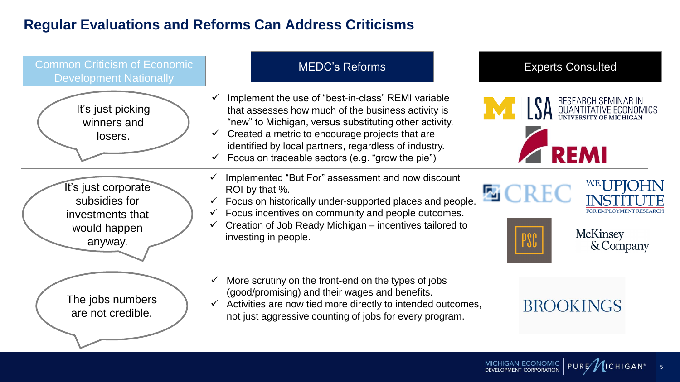#### **Regular Evaluations and Reforms Can Address Criticisms**



MICHIGAN ECONOMIC PURE/

5